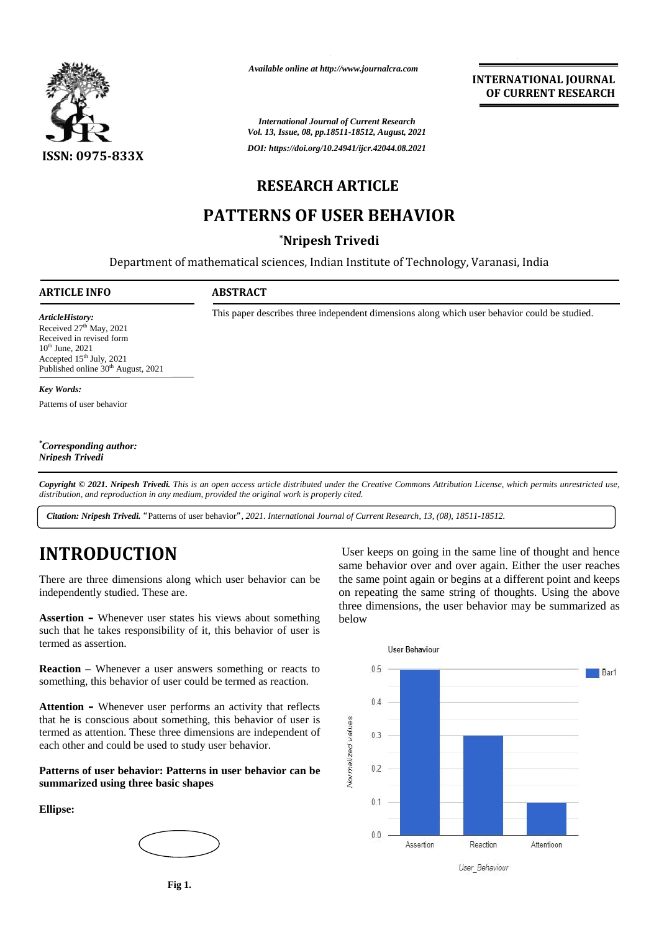

*Available online at http://www.journalcra.com*

**INTERNATIONAL JOURNAL OF CURRENT RESEARCH**

### **RESEARCH ARTICLE**

## **PATTERNS OF USER BEHAVIOR PATTERNS**

### **\*Nripesh Trivedi**

|                                                                                                                                                                                                             |                         | <b>International Journal of Current Research</b><br>Vol. 13, Issue, 08, pp.18511-18512, August, 2021                                                                                   |
|-------------------------------------------------------------------------------------------------------------------------------------------------------------------------------------------------------------|-------------------------|----------------------------------------------------------------------------------------------------------------------------------------------------------------------------------------|
| <b>ISSN: 0975-833X</b>                                                                                                                                                                                      |                         | DOI: https://doi.org/10.24941/ijcr.42044.08.2021                                                                                                                                       |
|                                                                                                                                                                                                             | <b>RESEARCH ARTICLE</b> |                                                                                                                                                                                        |
|                                                                                                                                                                                                             |                         | <b>PATTERNS OF USER BEHAVIOR</b>                                                                                                                                                       |
|                                                                                                                                                                                                             | *Nripesh Trivedi        |                                                                                                                                                                                        |
|                                                                                                                                                                                                             |                         | Department of mathematical sciences, Indian Institute of Technology, Varanasi, India                                                                                                   |
| <b>ARTICLE INFO</b>                                                                                                                                                                                         | <b>ABSTRACT</b>         |                                                                                                                                                                                        |
| ArticleHistory:<br>Received 27 <sup>th</sup> May, 2021<br>Received in revised form<br>10 <sup>th</sup> June, 2021<br>Accepted 15 <sup>th</sup> July, 2021<br>Published online 30 <sup>th</sup> August, 2021 |                         | This paper describes three independent dimensions along which user behavior could be studied.                                                                                          |
| <b>Key Words:</b>                                                                                                                                                                                           |                         |                                                                                                                                                                                        |
| Patterns of user behavior                                                                                                                                                                                   |                         |                                                                                                                                                                                        |
| <i>Corresponding author:</i><br>Nripesh Trivedi                                                                                                                                                             |                         |                                                                                                                                                                                        |
| distribution, and reproduction in any medium, provided the original work is properly cited.                                                                                                                 |                         | Copyright © 2021. Nripesh Trivedi. This is an open access article distributed under the Creative Commons Attribution License, which permits unrestricted use,                          |
|                                                                                                                                                                                                             |                         | <b>Citation: Nripesh Trivedi.</b> "Patterns of user behavior", 2021. International Journal of Current Research, 13, (08), 18511-18512.                                                 |
| <b>INTRODUCTION</b>                                                                                                                                                                                         |                         | User keeps on going in the same line of thought and hence<br>same behavior over and over again. Either the user reaches                                                                |
| There are three dimensions along which user behavior can be<br>independently studied. These are.                                                                                                            |                         | the same point again or begins at a different point and keeps<br>on repeating the same string of thoughts. Using the above<br>three dimensions, the user behavior may be summarized as |

# **INTRODUCTION INTRODUCTION**

**Assertion –** Whenever user states his views about something such that he takes responsibility of it, this behavior of user is termed as assertion. **Assertion** – Whenever user states his views about something such that he takes responsibility of it, this behavior of user is termed as assertion.

**Reaction** – Whenever a user answers something or reacts to **Reaction** – Whenever a user answers something or reacts to something, this behavior of user could be termed as reaction.

**Attention –** Whenever user performs an activity that reflects that he is conscious about something, this behavior of user is  $\frac{q}{q}$ that he is conscious about something, this behavior of user is<br>termed as attention. These three dimensions are independent of<br>each other and could be used to study user behavior.<br>**Patterns of user behavior: Patterns in us** each other and could be used to study user behavior. **Attention** – Whenever user performs an activity that reflecthat he is conscious about something, this behavior of user termed as attention. These three dimensions are independent

**Patterns of user behavior: Patterns in user behavior can be summarized using three basic shapes** Patterns of user behavior:<br>summarized using three b:<br>Ellipse:

**Ellipse:**



User keeps on going in the same line of thought and hence same behavior over and over again. Either the user reaches the same point again or begins at a different point and keeps on repeating the same string of thoughts. Using the above three dimensions, the user behavior may be summarized as below 1. International Journal of Current Research, 13, (08), 185<br>
User keeps on going in the<br>
same behavior over and ove<br>
havior can be<br>
the same point again or begi<br>
on repeating the same strin<br>
three dimensions, the user b<br>
v



User Behaviour